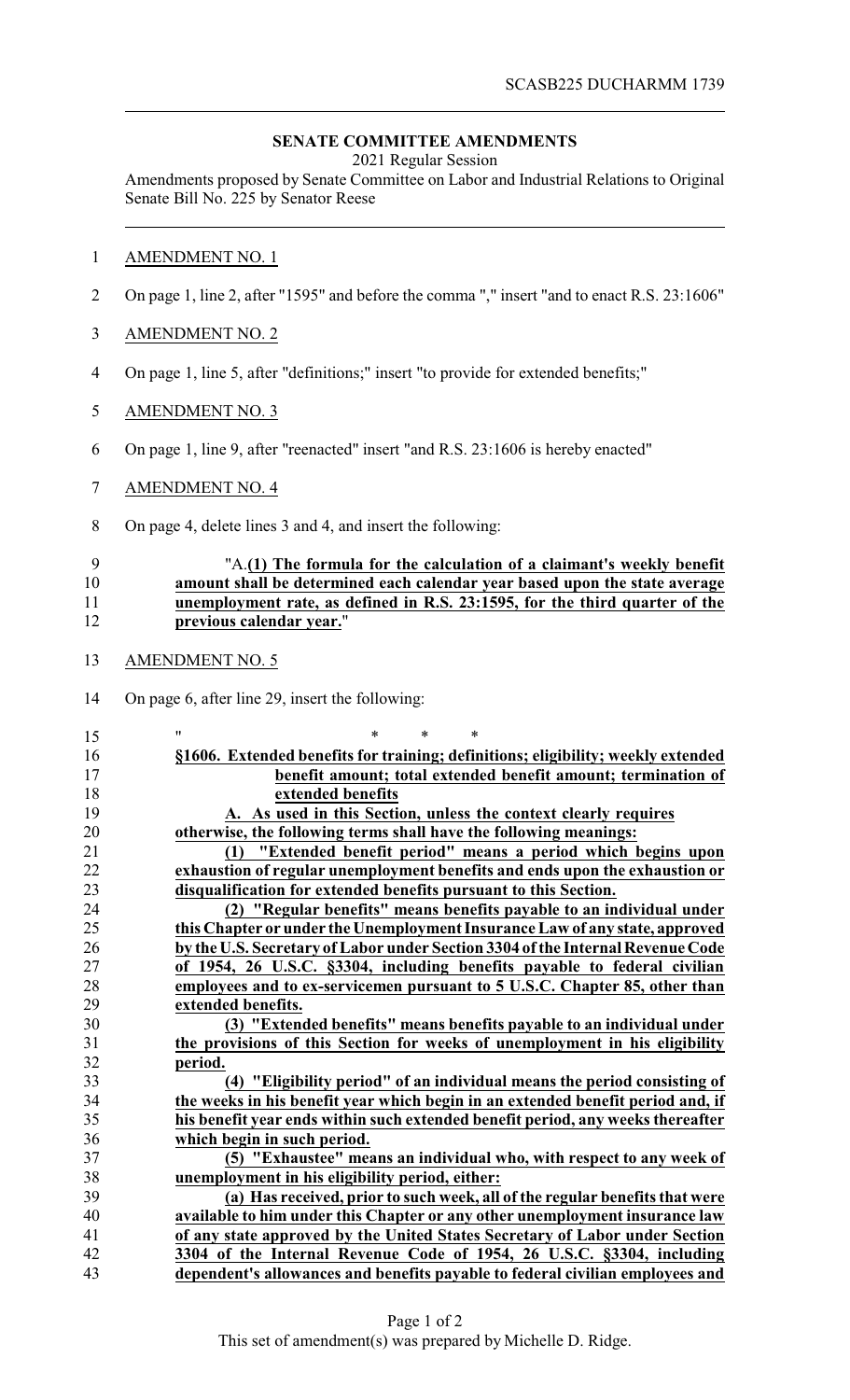## **SENATE COMMITTEE AMENDMENTS**

2021 Regular Session

Amendments proposed by Senate Committee on Labor and Industrial Relations to Original Senate Bill No. 225 by Senator Reese

## AMENDMENT NO. 1

- On page 1, line 2, after "1595" and before the comma "," insert "and to enact R.S. 23:1606"
- AMENDMENT NO. 2
- On page 1, line 5, after "definitions;" insert "to provide for extended benefits;"
- AMENDMENT NO. 3
- On page 1, line 9, after "reenacted" insert "and R.S. 23:1606 is hereby enacted"
- AMENDMENT NO. 4
- On page 4, delete lines 3 and 4, and insert the following:

## "A.**(1) The formula for the calculation of a claimant's weekly benefit amount shall be determined each calendar year based upon the state average unemployment rate, as defined in R.S. 23:1595, for the third quarter of the previous calendar year.**"

- AMENDMENT NO. 5
- On page 6, after line 29, insert the following:

| 15 | "<br>*<br>*                                                                      |
|----|----------------------------------------------------------------------------------|
| 16 | §1606. Extended benefits for training; definitions; eligibility; weekly extended |
| 17 | benefit amount; total extended benefit amount; termination of                    |
| 18 | extended benefits                                                                |
| 19 | A. As used in this Section, unless the context clearly requires                  |
| 20 | otherwise, the following terms shall have the following meanings:                |
| 21 | "Extended benefit period" means a period which begins upon<br>(1)                |
| 22 | exhaustion of regular unemployment benefits and ends upon the exhaustion or      |
| 23 | disqualification for extended benefits pursuant to this Section.                 |
| 24 | (2) "Regular benefits" means benefits payable to an individual under             |
| 25 | this Chapter or under the Unemployment Insurance Law of any state, approved      |
| 26 | by the U.S. Secretary of Labor under Section 3304 of the Internal Revenue Code   |
| 27 | of 1954, 26 U.S.C. §3304, including benefits payable to federal civilian         |
| 28 | employees and to ex-servicemen pursuant to 5 U.S.C. Chapter 85, other than       |
| 29 | extended benefits.                                                               |
| 30 | (3) "Extended benefits" means benefits payable to an individual under            |
| 31 | the provisions of this Section for weeks of unemployment in his eligibility      |
| 32 | period.                                                                          |
| 33 | (4) "Eligibility period" of an individual means the period consisting of         |
| 34 | the weeks in his benefit year which begin in an extended benefit period and, if  |
| 35 | his benefit year ends within such extended benefit period, any weeks thereafter  |
| 36 | which begin in such period.                                                      |
| 37 | (5) "Exhaustee" means an individual who, with respect to any week of             |
| 38 | unemployment in his eligibility period, either:                                  |
| 39 | (a) Has received, prior to such week, all of the regular benefits that were      |
| 40 | available to him under this Chapter or any other unemployment insurance law      |
| 41 | of any state approved by the United States Secretary of Labor under Section      |
| 42 | 3304 of the Internal Revenue Code of 1954, 26 U.S.C. §3304, including            |
| 43 | dependent's allowances and benefits payable to federal civilian employees and    |
|    |                                                                                  |